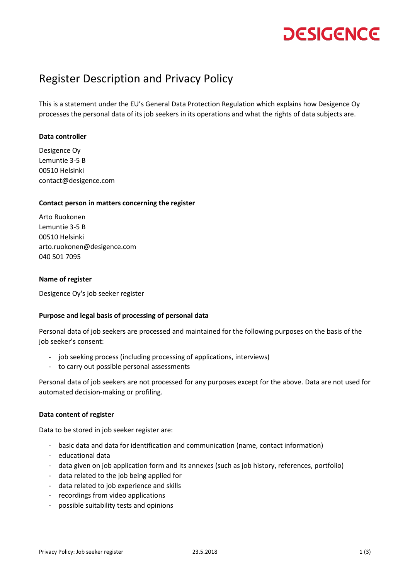## **DESIGENCE**

### Register Description and Privacy Policy

This is a statement under the EU's General Data Protection Regulation which explains how Desigence Oy processes the personal data of its job seekers in its operations and what the rights of data subjects are.

#### **Data controller**

Desigence Oy Lemuntie 3-5 B 00510 Helsinki contact@desigence.com

#### **Contact person in matters concerning the register**

Arto Ruokonen Lemuntie 3-5 B 00510 Helsinki arto.ruokonen@desigence.com 040 501 7095

#### **Name of register**

Desigence Oy's job seeker register

#### **Purpose and legal basis of processing of personal data**

Personal data of job seekers are processed and maintained for the following purposes on the basis of the job seeker's consent:

- job seeking process (including processing of applications, interviews)
- to carry out possible personal assessments

Personal data of job seekers are not processed for any purposes except for the above. Data are not used for automated decision-making or profiling.

#### **Data content of register**

Data to be stored in job seeker register are:

- basic data and data for identification and communication (name, contact information)
- educational data
- data given on job application form and its annexes (such as job history, references, portfolio)
- data related to the job being applied for
- data related to job experience and skills
- recordings from video applications
- possible suitability tests and opinions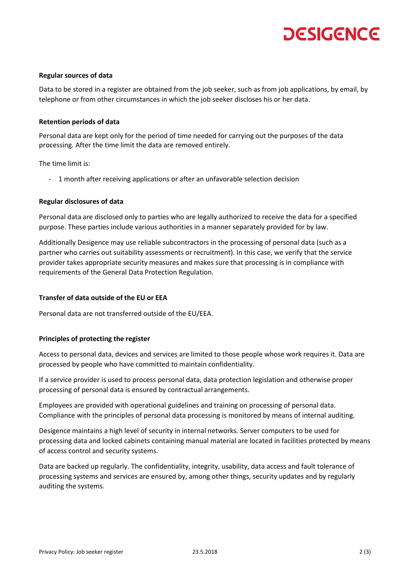# **DESIGENCE**

#### **Regular sources of data**

Data to be stored in a register are obtained from the job seeker, such as from job applications, by email, by telephone or from other circumstances in which the job seeker discloses his or her data.

#### **Retention periods of data**

Personal data are kept only for the period of time needed for carrying out the purposes of the data processing. After the time limit the data are removed entirely.

The time limit is:

- 1 month after receiving applications or after an unfavorable selection decision

#### **Regular disclosures of data**

Personal data are disclosed only to parties who are legally authorized to receive the data for a specified purpose. These parties include various authorities in a manner separately provided for by law.

Additionally Desigence may use reliable subcontractors in the processing of personal data (such as a partner who carries out suitability assessments or recruitment). In this case, we verify that the service provider takes appropriate security measures and makes sure that processing is in compliance with requirements of the General Data Protection Regulation.

#### **Transfer of data outside of the EU or EEA**

Personal data are not transferred outside of the EU/EEA.

#### **Principles of protecting the register**

Access to personal data, devices and services are limited to those people whose work requires it. Data are processed by people who have committed to maintain confidentiality.

If a service provider is used to process personal data, data protection legislation and otherwise proper processing of personal data is ensured by contractual arrangements.

Employees are provided with operational guidelines and training on processing of personal data. Compliance with the principles of personal data processing is monitored by means of internal auditing.

Desigence maintains a high level of security in internal networks. Server computers to be used for processing data and locked cabinets containing manual material are located in facilities protected by means of access control and security systems.

Data are backed up regularly. The confidentiality, integrity, usability, data access and fault tolerance of processing systems and services are ensured by, among other things, security updates and by regularly auditing the systems.